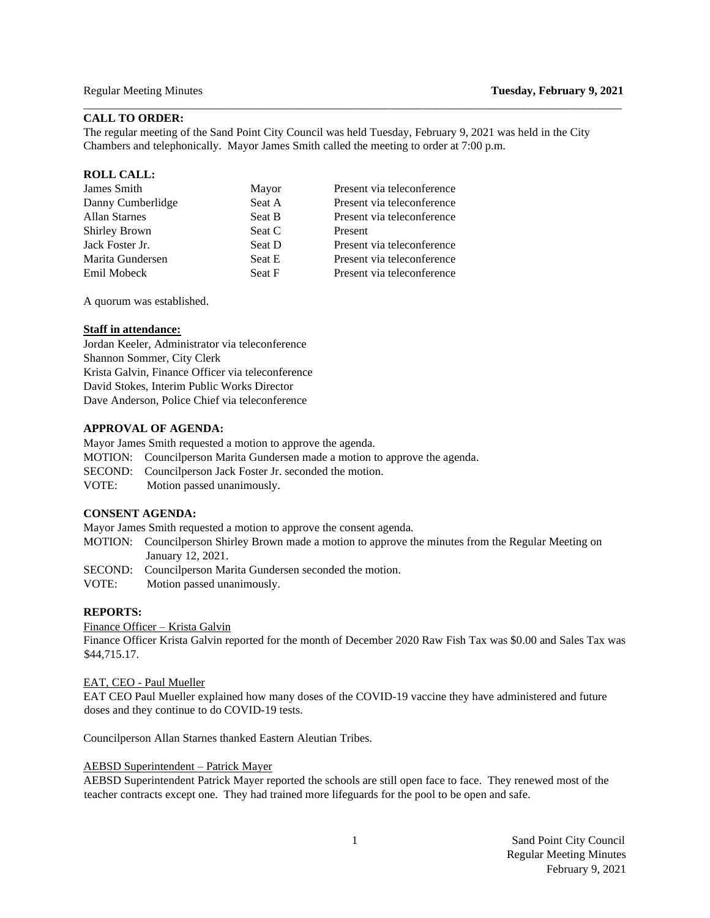## **CALL TO ORDER:**

The regular meeting of the Sand Point City Council was held Tuesday, February 9, 2021 was held in the City Chambers and telephonically. Mayor James Smith called the meeting to order at 7:00 p.m.

\_\_\_\_\_\_\_\_\_\_\_\_\_\_\_\_\_\_\_\_\_\_\_\_\_\_\_\_\_\_\_\_\_\_\_\_\_\_\_\_\_\_\_\_\_\_\_\_\_\_\_\_\_\_\_\_\_\_\_\_\_\_\_\_\_\_\_\_\_\_\_\_\_\_\_\_\_\_\_\_\_\_\_\_\_\_\_\_\_\_\_\_\_

#### **ROLL CALL:**

| James Smith          | Mayor  | Present via teleconference |
|----------------------|--------|----------------------------|
| Danny Cumberlidge    | Seat A | Present via teleconference |
| <b>Allan Starnes</b> | Seat B | Present via teleconference |
| <b>Shirley Brown</b> | Seat C | Present                    |
| Jack Foster Jr.      | Seat D | Present via teleconference |
| Marita Gundersen     | Seat E | Present via teleconference |
| Emil Mobeck          | Seat F | Present via teleconference |
|                      |        |                            |

A quorum was established.

#### **Staff in attendance:**

Jordan Keeler, Administrator via teleconference Shannon Sommer, City Clerk Krista Galvin, Finance Officer via teleconference David Stokes, Interim Public Works Director Dave Anderson, Police Chief via teleconference

### **APPROVAL OF AGENDA:**

Mayor James Smith requested a motion to approve the agenda.

- MOTION: Councilperson Marita Gundersen made a motion to approve the agenda.
- SECOND: Councilperson Jack Foster Jr. seconded the motion.
- VOTE:Motion passed unanimously.

#### **CONSENT AGENDA:**

Mayor James Smith requested a motion to approve the consent agenda.

MOTION: Councilperson Shirley Brown made a motion to approve the minutes from the Regular Meeting on January 12, 2021.

SECOND: Councilperson Marita Gundersen seconded the motion.

VOTE:Motion passed unanimously.

### **REPORTS:**

Finance Officer – Krista Galvin

Finance Officer Krista Galvin reported for the month of December 2020 Raw Fish Tax was \$0.00 and Sales Tax was \$44,715.17.

#### EAT, CEO - Paul Mueller

EAT CEO Paul Mueller explained how many doses of the COVID-19 vaccine they have administered and future doses and they continue to do COVID-19 tests.

Councilperson Allan Starnes thanked Eastern Aleutian Tribes.

#### AEBSD Superintendent – Patrick Mayer

AEBSD Superintendent Patrick Mayer reported the schools are still open face to face. They renewed most of the teacher contracts except one. They had trained more lifeguards for the pool to be open and safe.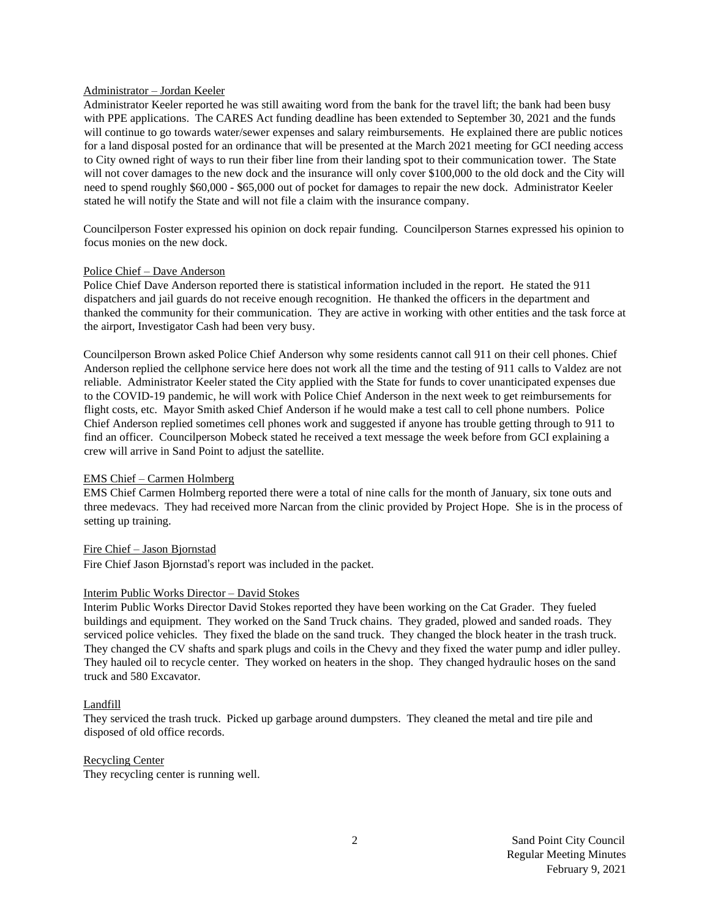### Administrator – Jordan Keeler

Administrator Keeler reported he was still awaiting word from the bank for the travel lift; the bank had been busy with PPE applications. The CARES Act funding deadline has been extended to September 30, 2021 and the funds will continue to go towards water/sewer expenses and salary reimbursements. He explained there are public notices for a land disposal posted for an ordinance that will be presented at the March 2021 meeting for GCI needing access to City owned right of ways to run their fiber line from their landing spot to their communication tower. The State will not cover damages to the new dock and the insurance will only cover \$100,000 to the old dock and the City will need to spend roughly \$60,000 - \$65,000 out of pocket for damages to repair the new dock. Administrator Keeler stated he will notify the State and will not file a claim with the insurance company.

Councilperson Foster expressed his opinion on dock repair funding. Councilperson Starnes expressed his opinion to focus monies on the new dock.

### Police Chief – Dave Anderson

Police Chief Dave Anderson reported there is statistical information included in the report. He stated the 911 dispatchers and jail guards do not receive enough recognition. He thanked the officers in the department and thanked the community for their communication. They are active in working with other entities and the task force at the airport, Investigator Cash had been very busy.

Councilperson Brown asked Police Chief Anderson why some residents cannot call 911 on their cell phones. Chief Anderson replied the cellphone service here does not work all the time and the testing of 911 calls to Valdez are not reliable. Administrator Keeler stated the City applied with the State for funds to cover unanticipated expenses due to the COVID-19 pandemic, he will work with Police Chief Anderson in the next week to get reimbursements for flight costs, etc. Mayor Smith asked Chief Anderson if he would make a test call to cell phone numbers. Police Chief Anderson replied sometimes cell phones work and suggested if anyone has trouble getting through to 911 to find an officer. Councilperson Mobeck stated he received a text message the week before from GCI explaining a crew will arrive in Sand Point to adjust the satellite.

## EMS Chief – Carmen Holmberg

EMS Chief Carmen Holmberg reported there were a total of nine calls for the month of January, six tone outs and three medevacs. They had received more Narcan from the clinic provided by Project Hope. She is in the process of setting up training.

## Fire Chief – Jason Bjornstad

Fire Chief Jason Bjornstad's report was included in the packet.

## Interim Public Works Director – David Stokes

Interim Public Works Director David Stokes reported they have been working on the Cat Grader. They fueled buildings and equipment. They worked on the Sand Truck chains. They graded, plowed and sanded roads. They serviced police vehicles. They fixed the blade on the sand truck. They changed the block heater in the trash truck. They changed the CV shafts and spark plugs and coils in the Chevy and they fixed the water pump and idler pulley. They hauled oil to recycle center. They worked on heaters in the shop. They changed hydraulic hoses on the sand truck and 580 Excavator.

### Landfill

They serviced the trash truck. Picked up garbage around dumpsters. They cleaned the metal and tire pile and disposed of old office records.

Recycling Center

They recycling center is running well.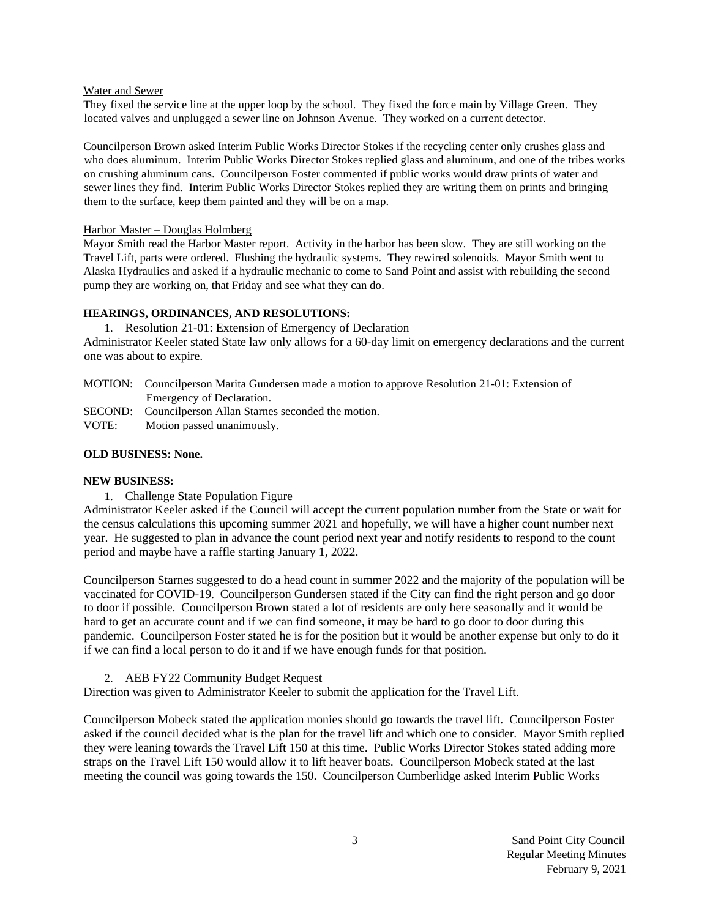### Water and Sewer

They fixed the service line at the upper loop by the school. They fixed the force main by Village Green. They located valves and unplugged a sewer line on Johnson Avenue. They worked on a current detector.

Councilperson Brown asked Interim Public Works Director Stokes if the recycling center only crushes glass and who does aluminum. Interim Public Works Director Stokes replied glass and aluminum, and one of the tribes works on crushing aluminum cans. Councilperson Foster commented if public works would draw prints of water and sewer lines they find. Interim Public Works Director Stokes replied they are writing them on prints and bringing them to the surface, keep them painted and they will be on a map.

## Harbor Master – Douglas Holmberg

Mayor Smith read the Harbor Master report. Activity in the harbor has been slow. They are still working on the Travel Lift, parts were ordered. Flushing the hydraulic systems. They rewired solenoids. Mayor Smith went to Alaska Hydraulics and asked if a hydraulic mechanic to come to Sand Point and assist with rebuilding the second pump they are working on, that Friday and see what they can do.

## **HEARINGS, ORDINANCES, AND RESOLUTIONS:**

1. Resolution 21-01: Extension of Emergency of Declaration Administrator Keeler stated State law only allows for a 60-day limit on emergency declarations and the current one was about to expire.

- MOTION: Councilperson Marita Gundersen made a motion to approve Resolution 21-01: Extension of Emergency of Declaration.
- SECOND: Councilperson Allan Starnes seconded the motion.

VOTE: Motion passed unanimously.

## **OLD BUSINESS: None.**

## **NEW BUSINESS:**

1. Challenge State Population Figure

Administrator Keeler asked if the Council will accept the current population number from the State or wait for the census calculations this upcoming summer 2021 and hopefully, we will have a higher count number next year. He suggested to plan in advance the count period next year and notify residents to respond to the count period and maybe have a raffle starting January 1, 2022.

Councilperson Starnes suggested to do a head count in summer 2022 and the majority of the population will be vaccinated for COVID-19. Councilperson Gundersen stated if the City can find the right person and go door to door if possible. Councilperson Brown stated a lot of residents are only here seasonally and it would be hard to get an accurate count and if we can find someone, it may be hard to go door to door during this pandemic. Councilperson Foster stated he is for the position but it would be another expense but only to do it if we can find a local person to do it and if we have enough funds for that position.

2. AEB FY22 Community Budget Request

Direction was given to Administrator Keeler to submit the application for the Travel Lift.

Councilperson Mobeck stated the application monies should go towards the travel lift. Councilperson Foster asked if the council decided what is the plan for the travel lift and which one to consider. Mayor Smith replied they were leaning towards the Travel Lift 150 at this time. Public Works Director Stokes stated adding more straps on the Travel Lift 150 would allow it to lift heaver boats. Councilperson Mobeck stated at the last meeting the council was going towards the 150. Councilperson Cumberlidge asked Interim Public Works